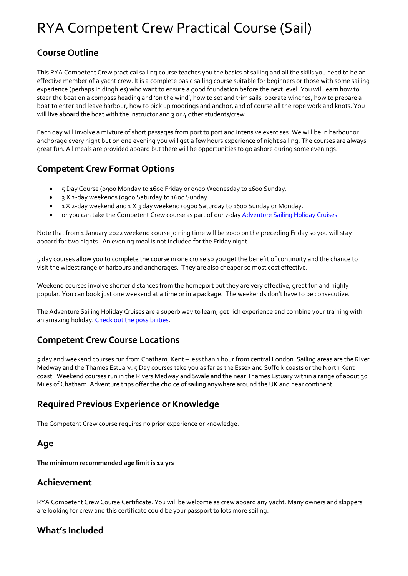# RYA Competent Crew Practical Course (Sail)

# **Course Outline**

This RYA Competent Crew practical sailing course teaches you the basics of sailing and all the skills you need to be an effective member of a yacht crew. It is a complete basic sailing course suitable for beginners or those with some sailing experience (perhaps in dinghies) who want to ensure a good foundation before the next level. You will learn how to steer the boat on a compass heading and 'on the wind', how to set and trim sails, operate winches, how to prepare a boat to enter and leave harbour, how to pick up moorings and anchor, and of course all the rope work and knots. You will live aboard the boat with the instructor and 3 or 4 other students/crew.

Each day will involve a mixture of short passages from port to port and intensive exercises. We will be in harbour or anchorage every night but on one evening you will get a few hours experience of night sailing. The courses are always great fun. All meals are provided aboard but there will be opportunities to go ashore during some evenings.

## **Competent Crew Format Options**

- 5 Day Course (0900 Monday to 1600 Friday or 0900 Wednesday to 1600 Sunday.
- 3 X 2-day weekends (0900 Saturday to 1600 Sunday.
- 1 X 2-day weekend and 1 X 3 day weekend (0900 Saturday to 1600 Sunday or Monday.
- or you can take the Competent Crew course as part of our 7-da[y Adventure Sailing Holiday Cruises](http://www.elitesailing.co.uk/adventure/adventure-sailing)

Note that from 1 January 2022 weekend course joining time will be 2000 on the preceding Friday so you will stay aboard for two nights. An evening meal is not included for the Friday night.

5 day courses allow you to complete the course in one cruise so you get the benefit of continuity and the chance to visit the widest range of harbours and anchorages. They are also cheaper so most cost effective.

Weekend courses involve shorter distances from the homeport but they are very effective, great fun and highly popular. You can book just one weekend at a time or in a package. The weekends don't have to be consecutive.

The Adventure Sailing Holiday Cruises are a superb way to learn, get rich experience and combine your training with an amazing holiday[. Check out the possibilities.](http://www.elitesailing.co.uk/adventure/adventure-sailing)

## **Competent Crew Course Locations**

5 day and weekend courses run from Chatham, Kent – less than 1 hour from central London. Sailing areas are the River Medway and the Thames Estuary. 5 Day courses take you as far as the Essex and Suffolk coasts or the North Kent coast. Weekend courses run in the Rivers Medway and Swale and the near Thames Estuary within a range of about 30 Miles of Chatham. Adventure trips offer the choice of sailing anywhere around the UK and near continent.

# **Required Previous Experience or Knowledge**

The Competent Crew course requires no prior experience or knowledge.

## **Age**

**The minimum recommended age limit is 12 yrs**

## **Achievement**

RYA Competent Crew Course Certificate. You will be welcome as crew aboard any yacht. Many owners and skippers are looking for crew and this certificate could be your passport to lots more sailing.

## **What's Included**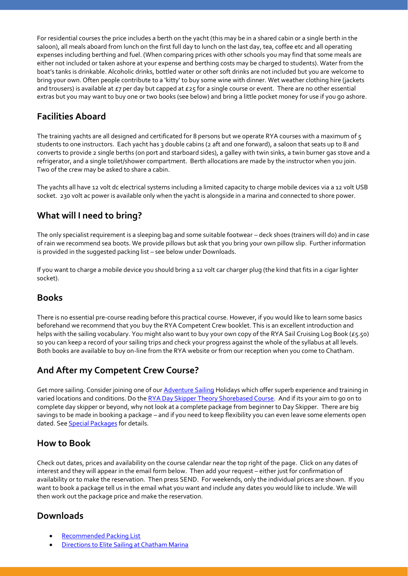For residential courses the price includes a berth on the yacht (this may be in a shared cabin or a single berth in the saloon), all meals aboard from lunch on the first full day to lunch on the last day, tea, coffee etc and all operating expenses including berthing and fuel. (When comparing prices with other schools you may find that some meals are either not included or taken ashore at your expense and berthing costs may be charged to students). Water from the boat's tanks is drinkable. Alcoholic drinks, bottled water or other soft drinks are not included but you are welcome to bring your own. Often people contribute to a 'kitty' to buy some wine with dinner. Wet weather clothing hire (jackets and trousers) is available at  $E7$  per day but capped at  $E25$  for a single course or event. There are no other essential extras but you may want to buy one or two books (see below) and bring a little pocket money for use if you go ashore.

# **Facilities Aboard**

The training yachts are all designed and certificated for 8 persons but we operate RYA courses with a maximum of 5 students to one instructors. Each yacht has 3 double cabins (2 aft and one forward), a saloon that seats up to 8 and converts to provide 2 single berths (on port and starboard sides), a galley with twin sinks, a twin burner gas stove and a refrigerator, and a single toilet/shower compartment. Berth allocations are made by the instructor when you join. Two of the crew may be asked to share a cabin.

The yachts all have 12 volt dc electrical systems including a limited capacity to charge mobile devices via a 12 volt USB socket. 230 volt ac power is available only when the yacht is alongside in a marina and connected to shore power.

# **What will I need to bring?**

The only specialist requirement is a sleeping bag and some suitable footwear – deck shoes (trainers will do) and in case of rain we recommend sea boots. We provide pillows but ask that you bring your own pillow slip. Further information is provided in the suggested packing list – see below under Downloads.

If you want to charge a mobile device you should bring a 12 volt car charger plug (the kind that fits in a cigar lighter socket).

## **Books**

There is no essential pre-course reading before this practical course. However, if you would like to learn some basics beforehand we recommend that you buy the RYA Competent Crew booklet. This is an excellent introduction and helps with the sailing vocabulary. You might also want to buy your own copy of the RYA Sail Cruising Log Book (£5.50) so you can keep a record of your sailing trips and check your progress against the whole of the syllabus at all levels. Both books are available to buy on-line from the RYA website or from our reception when you come to Chatham.

# **And After my Competent Crew Course?**

Get more sailing. Consider joining one of our [Adventure Sailing](http://www.elitesailing.co.uk/adventure/adventure-sailing) Holidays which offer superb experience and training in varied locations and conditions. Do the RYA Day Skipper [Theory Shorebased Course.](http://www.elitesailing.co.uk/shorebased-courses/day-skipper) And if its your aim to go on to complete day skipper or beyond, why not look at a complete package from beginner to Day Skipper. There are big savings to be made in booking a package – and if you need to keep flexibility you can even leave some elements open dated. See **Special Packages** for details.

## **How to Book**

Check out dates, prices and availability on the course calendar near the top right of the page. Click on any dates of interest and they will appear in the email form below. Then add your request – either just for confirmation of availability or to make the reservation. Then press SEND. For weekends, only the individual prices are shown. If you want to book a package tell us in the email what you want and include any dates you would like to include. We will then work out the package price and make the reservation.

## **Downloads**

- [Recommended Packing List](http://www.elitesailing.co.uk/downloads/packing-list-for-practical-sailing.pdf)
- **[Directions to Elite Sailing at Chatham Marina](http://www.elitesailing.co.uk/downloads/chatham-directions.pdf)**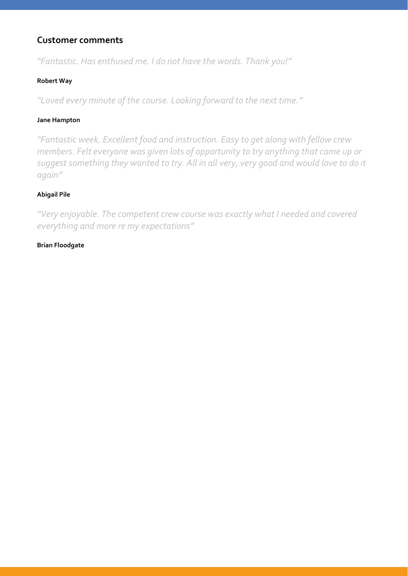## **Customer comments**

*"Fantastic. Has enthused me. I do not have the words. Thank you!"*

#### **Robert Way**

*"Loved every minute of the course. Looking forward to the next time."*

#### **Jane Hampton**

*"Fantastic week. Excellent food and instruction. Easy to get along with fellow crew members. Felt everyone was given lots of opportunity to try anything that came up or suggest something they wanted to try. All in all very, very good and would love to do it again"*

#### **Abigail Pile**

*"Very enjoyable. The competent crew course was exactly what I needed and covered everything and more re my expectations"*

#### **Brian Floodgate**